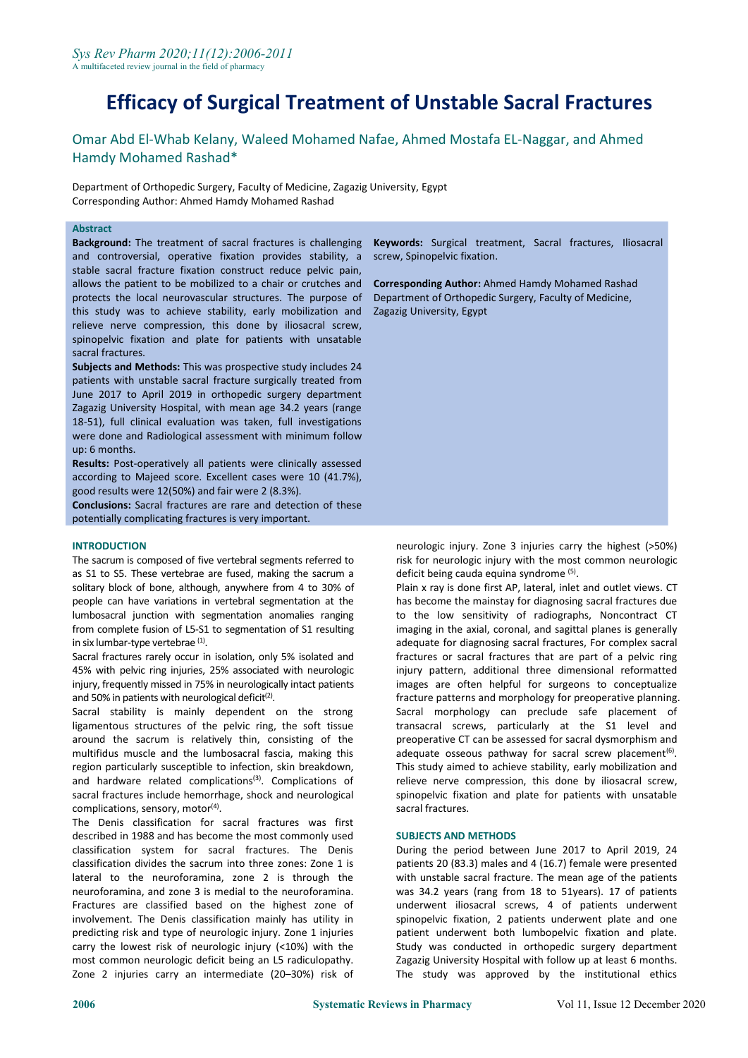Omar Abd El-Whab Kelany, Waleed Mohamed Nafae, Ahmed Mostafa EL-Naggar, and Ahmed Hamdy Mohamed Rashad\*

Department of Orthopedic Surgery, Faculty of Medicine, Zagazig University, Egypt Corresponding Author: Ahmed Hamdy Mohamed Rashad

#### **Abstract**

**Background:** The treatment of sacral fractures is challenging and controversial, operative fixation provides stability, a stable sacral fracture fixation construct reduce pelvic pain, allows the patient to be mobilized to a chair or crutches and protects the local neurovascular structures. The purpose of this study was to achieve stability, early mobilization and relieve nerve compression, this done by iliosacral screw, spinopelvic fixation and plate for patients with unsatable sacral fractures.

**Subjects and Methods:** This was prospective study includes 24 patients with unstable sacral fracture surgically treated from June 2017 to April 2019 in orthopedic surgery department Zagazig University Hospital, with mean age 34.2 years (range 18-51), full clinical evaluation was taken, full investigations were done and Radiological assessment with minimum follow up: 6 months.

**Results:** Post-operatively all patients were clinically assessed according to Majeed score. Excellent cases were 10 (41.7%), good results were 12(50%) and fair were 2 (8.3%).

**Conclusions:** Sacral fractures are rare and detection of these potentially complicating fractures is very important.

#### **INTRODUCTION**

The sacrum is composed of five vertebral segments referred to as S1 to S5. These vertebrae are fused, making the sacrum a solitary block of bone, although, anywhere from 4 to 30% of people can have variations in vertebral segmentation at the lumbosacral junction with segmentation anomalies ranging from complete fusion of L5-S1 to segmentation of S1 resulting in six lumbar-type vertebrae <sup>(1)</sup>.

Sacral fractures rarely occur in isolation, only 5% isolated and 45% with pelvic ring injuries, 25% associated with neurologic injury, frequently missed in 75% in neurologically intact patients and 50% in patients with neurological deficit<sup>(2)</sup>.

Sacral stability is mainly dependent on the strong ligamentous structures of the pelvic ring, the soft tissue around the sacrum is relatively thin, consisting of the multifidus muscle and the lumbosacral fascia, making this region particularly susceptible to infection, skin breakdown, and hardware related complications<sup>(3)</sup>. Complications of creliev sacral fractures include hemorrhage, shock and neurological complications, sensory, motor<sup>(4)</sup>.

The Denis classification for sacral fractures was first described in 1988 and has become the most commonly used classification system for sacral fractures. The Denis classification divides the sacrum into three zones: Zone 1 is lateral to the neuroforamina, zone 2 is through the neuroforamina, and zone 3 is medial to the neuroforamina. Fractures are classified based on the highest zone of involvement. The Denis classification mainly has utility in predicting risk and type of neurologic injury. Zone 1 injuries carry the lowest risk of neurologic injury (<10%) with the most common neurologic deficit being an L5 radiculopathy. Zone 2 injuries carry an intermediate (20–30%) risk of

**Keywords:** Surgical treatment, Sacral fractures, Iliosacral screw, Spinopelvic fixation.

**Corresponding Author:** Ahmed Hamdy Mohamed Rashad Department of Orthopedic Surgery, Faculty of Medicine, Zagazig University, Egypt

neurologic injury. Zone 3 injuries carry the highest (>50%) risk for neurologic injury with the most common neurologic deficit being cauda equina syndrome <sup>(5)</sup>.

Plain x ray is done first AP, lateral, inlet and outlet views. CT has become the mainstay for diagnosing sacral fractures due to the low sensitivity of radiographs, Noncontract CT imaging in the axial, coronal, and sagittal planes is generally adequate for diagnosing sacral fractures, For complex sacral fractures or sacral fractures that are part of a pelvic ring injury pattern, additional three dimensional reformatted images are often helpful for surgeons to conceptualize fracture patterns and morphology for preoperative planning. Sacral morphology can preclude safe placement of transacral screws, particularly at the S1 level and preoperative CT can be assessed for sacral dysmorphism and adequate osseous pathway for sacral screw placement<sup>(6)</sup>. This study aimed to achieve stability, early mobilization and relieve nerve compression, this done by iliosacral screw, spinopelvic fixation and plate for patients with unsatable sacral fractures.

## **SUBJECTS AND METHODS**

During the period between June 2017 to April 2019, 24 patients 20 (83.3) males and 4 (16.7) female were presented with unstable sacral fracture. The mean age of the patients was 34.2 years (rang from 18 to 51years). 17 of patients underwent iliosacral screws, 4 of patients underwent spinopelvic fixation, 2 patients underwent plate and one patient underwent both lumbopelvic fixation and plate. Study was conducted in orthopedic surgery department Zagazig University Hospital with follow up at least 6 months. The study was approved by the institutional ethics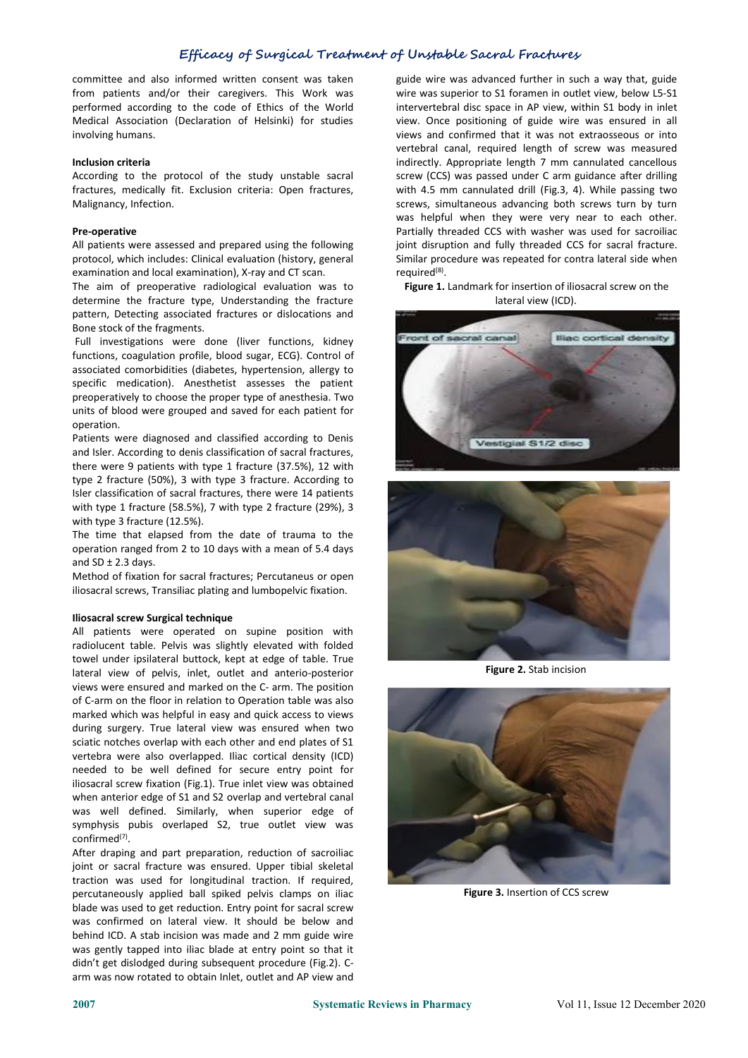committee and also informed written consent was taken from patients and/or their caregivers. This Work was performed according to the code of Ethics of the World Medical Association (Declaration of Helsinki) for studies involving humans.

## **Inclusion criteria**

According to the protocol of the study unstable sacral fractures, medically fit. Exclusion criteria: Open fractures, Malignancy, Infection.

#### **Pre-operative**

All patients were assessed and prepared using the following protocol, which includes: Clinical evaluation (history, general examination and local examination), X-ray and CT scan.

The aim of preoperative radiological evaluation was to determine the fracture type, Understanding the fracture pattern, Detecting associated fractures or dislocations and Bone stock of the fragments.<br>Full investigations were done (liver functions, kidney

functions, coagulation profile, blood sugar, ECG). Control of associated comorbidities (diabetes, hypertension, allergy to specific medication). Anesthetist assesses the patient preoperatively to choose the proper type of anesthesia. Two units of blood were grouped and saved for each patient for operation.

Patients were diagnosed and classified according to Denis and Isler. According to denis classification of sacral fractures, there were 9 patients with type 1 fracture (37.5%), 12 with type 2 fracture (50%), 3 with type 3 fracture. According to Isler classification of sacral fractures, there were 14 patients with type 1 fracture (58.5%), 7 with type 2 fracture (29%), 3 with type 3 fracture (12.5%).

The time that elapsed from the date of trauma to the operation ranged from 2 to 10 days with a mean of 5.4 days and  $SD \pm 2.3$  days.

Method of fixation for sacral fractures; Percutaneus or open iliosacral screws, Transiliac plating and lumbopelvic fixation.

## **Iliosacral screw Surgical technique**

All patients were operated on supine position with radiolucent table. Pelvis was slightly elevated with folded towel under ipsilateral buttock, kept at edge of table. True lateral view of pelvis, inlet, outlet and anterio-posterior views were ensured and marked on the C- arm. The position of C-arm on the floor in relation to Operation table was also marked which was helpful in easy and quick access to views during surgery. True lateral view was ensured when two sciatic notches overlap with each other and end plates of S1 vertebra were also overlapped. Iliac cortical density (ICD) needed to be well defined for secure entry point for iliosacral screw fixation (Fig.1). True inlet view was obtained when anterior edge of S1 and S2 overlap and vertebral canal was well defined. Similarly, when superior edge of symphysis pubis overlaped S2, true outlet view was  $\mathsf{confirmed}^{(7)}$ .

After draping and part preparation, reduction of sacroiliac joint or sacral fracture was ensured. Upper tibial skeletal traction was used for longitudinal traction. If required, percutaneously applied ball spiked pelvis clamps on iliac blade was used to get reduction. Entry point for sacral screw was confirmed on lateral view. It should be below and behind ICD. A stab incision was made and 2 mm guide wire was gently tapped into iliac blade at entry point so that it didn't get dislodged during subsequent procedure (Fig.2). C arm was now rotated to obtain Inlet, outlet and AP view and

guide wire was advanced further in such a way that, guide wire was superior to S1 foramen in outlet view, below L5-S1 intervertebral disc space in AP view, within S1 body in inlet view. Once positioning of guide wire was ensured in all views and confirmed that it was not extraosseous or into vertebral canal, required length of screw was measured indirectly. Appropriate length 7 mm cannulated cancellous screw (CCS) was passed under C arm guidance after drilling with 4.5 mm cannulated drill (Fig.3, 4). While passing two screws, simultaneous advancing both screws turn by turn was helpful when they were very near to each other. Partially threaded CCS with washer was used for sacroiliac joint disruption and fully threaded CCS for sacral fracture. Similar procedure was repeated for contra lateral side when required<sup>(8)</sup>.

**Figure 1.** Landmark for insertion of iliosacral screw on the lateral view (ICD).





**Figure 2.** Stab incision



**Figure 3.** Insertion of CCS screw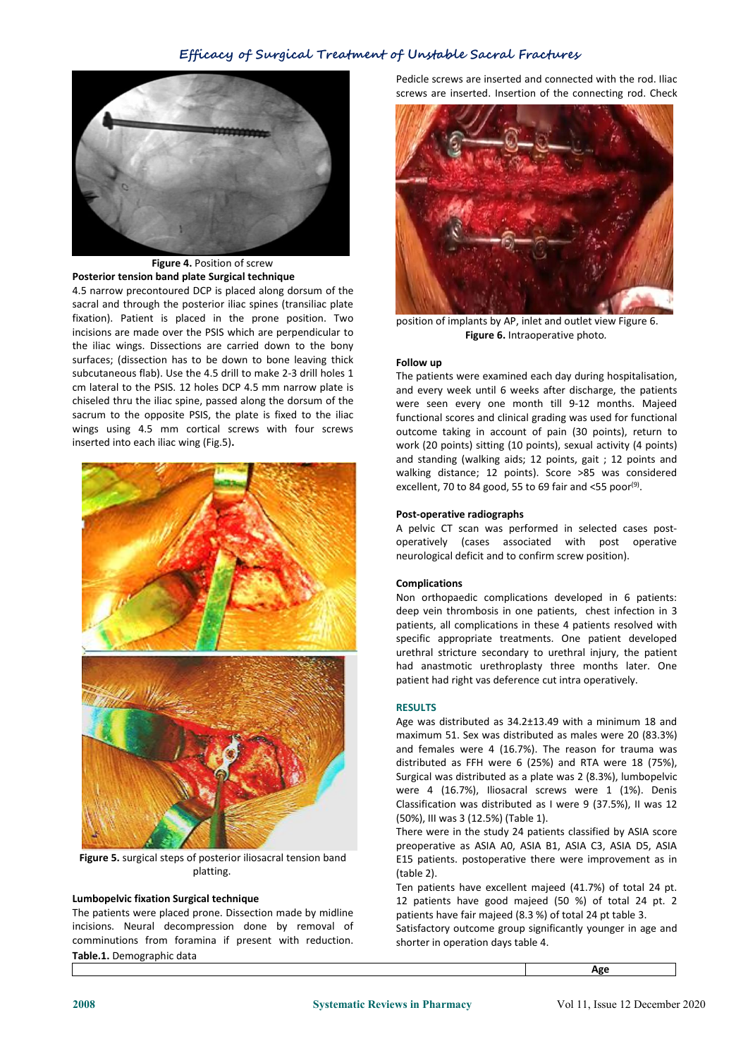

# **Figure 4.** Position of screw **Posterior tension band plate Surgical technique**

4.5 narrow precontoured DCP is placed along dorsum of the sacral and through the posterior iliac spines (transiliac plate fixation). Patient is placed in the prone position. Two incisions are made over the PSIS which are perpendicular to the iliac wings. Dissections are carried down to the bony surfaces; (dissection has to be down to bone leaving thick subcutaneous flab). Use the 4.5 drill to make 2-3 drill holes 1 cm lateral to the PSIS. 12 holes DCP 4.5 mm narrow plate is chiseled thru the iliac spine, passed along the dorsum of the sacrum to the opposite PSIS, the plate is fixed to the iliac wings using 4.5 mm cortical screws with four screws inserted into each iliac wing (Fig.5)**.**



**Figure 5.** surgical steps of posterior iliosacral tension band platting.

# **Lumbopelvic fixation Surgical technique**

The patients were placed prone. Dissection made by midline incisions. Neural decompression done by removal of comminutions from foramina if present with reduction. **Table.1.** Demographic data

Pedicle screws are inserted and connected with the rod. Iliac screws are inserted. Insertion of the connecting rod. Check



position of implants by AP, inlet and outlet view Figure 6. **Figure 6.** Intraoperative photo*.*

#### **Follow up**

The patients were examined each day during hospitalisation, and every week until 6 weeks after discharge, the patients were seen every one month till 9-12 months. Majeed functional scores and clinical grading was used for functional outcome taking in account of pain (30 points), return to work (20 points) sitting (10 points), sexual activity (4 points) and standing (walking aids; 12 points, gait ; 12 points and walking distance; 12 points). Score >85 was considered excellent, 70 to 84 good, 55 to 69 fair and <55 poor<sup>(9)</sup>.

## **Post-operative radiographs**

A pelvic CT scan was performed in selected cases postoperatively (cases associated with post operative neurological deficit and to confirm screw position).

## **Complications**

Non orthopaedic complications developed in 6 patients: deep vein thrombosis in one patients, chest infection in 3 patients, all complications in these 4 patients resolved with specific appropriate treatments. One patient developed urethral stricture secondary to urethral injury, the patient had anastmotic urethroplasty three months later. One patient had right vas deference cut intra operatively.

#### **RESULTS**

Age was distributed as 34.2±13.49 with a minimum 18 and maximum 51. Sex was distributed as males were 20 (83.3%) and females were 4 (16.7%). The reason for trauma was distributed as FFH were 6 (25%) and RTA were 18 (75%), Surgical was distributed as a plate was 2 (8.3%), lumbopelvic were 4 (16.7%), Iliosacral screws were 1 (1%). Denis Classification was distributed as I were 9 (37.5%), II was 12 (50%), III was 3 (12.5%) (Table 1).

There were in the study 24 patients classified by ASIA score preoperative as ASIA A0, ASIA B1, ASIA C3, ASIA D5, ASIA E15 patients. postoperative there were improvement as in (table 2).

Ten patients have excellent majeed (41.7%) of total 24 pt. 12 patients have good majeed (50 %) of total24 pt. 2 patients have fair majeed (8.3 %) of total 24 pt table 3.

Satisfactory outcome group significantly younger in age and shorter in operation days table 4.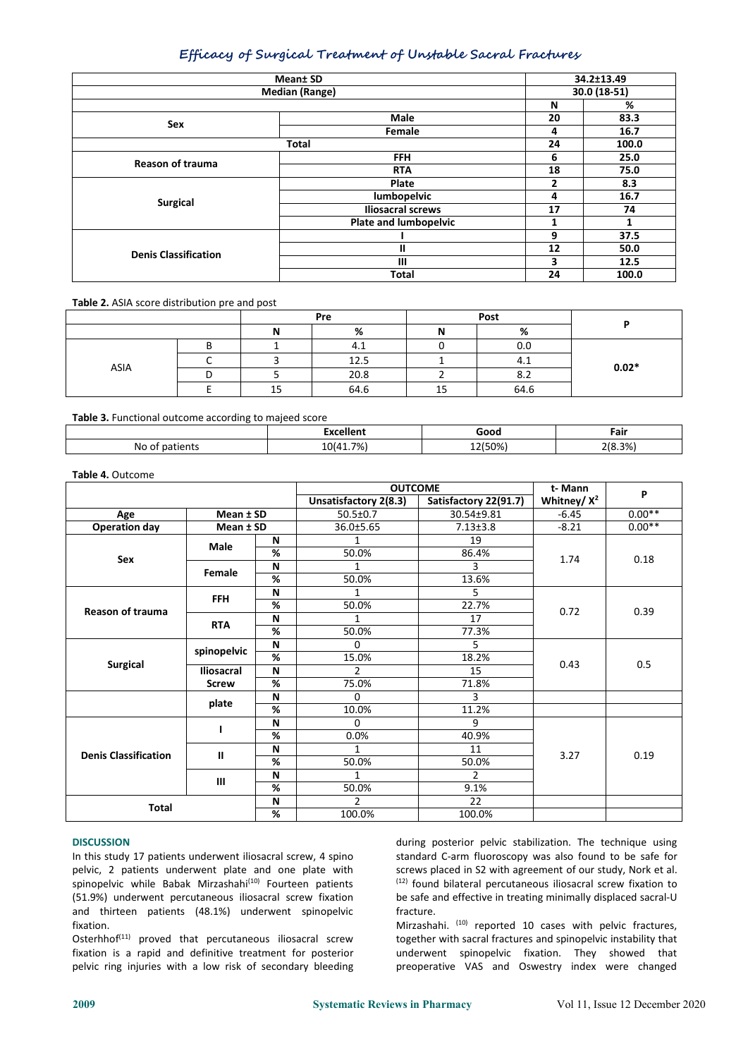| Mean <sup>±</sup> SD        |                              |       | 34.2±13.49   |  |  |
|-----------------------------|------------------------------|-------|--------------|--|--|
| <b>Median (Range)</b>       |                              |       | 30.0 (18-51) |  |  |
|                             |                              | N     | %            |  |  |
|                             | Male                         | 20    | 83.3         |  |  |
| Sex                         | Female                       | 4     | 16.7         |  |  |
|                             | 24                           | 100.0 |              |  |  |
| <b>Reason of trauma</b>     | <b>FFH</b>                   | 6     | 25.0         |  |  |
|                             | <b>RTA</b>                   | 18    | 75.0         |  |  |
| <b>Surgical</b>             | Plate                        | 2     | 8.3          |  |  |
|                             | lumbopelvic                  | 4     | 16.7         |  |  |
|                             | <b>Iliosacral screws</b>     | 17    | 74           |  |  |
|                             | <b>Plate and lumbopelvic</b> | 1     |              |  |  |
| <b>Denis Classification</b> |                              | 9     | 37.5         |  |  |
|                             | Ш                            | 12    | 50.0         |  |  |
|                             | $\mathbf{III}$               | 3     | 12.5         |  |  |
|                             | <b>Total</b>                 | 24    | 100.0        |  |  |

**Table 2.** ASIA score distribution pre and post

|      | Pre |      | Post |      |         |  |
|------|-----|------|------|------|---------|--|
|      |     | %    | N    | %    |         |  |
| ASIA |     | 4.1  |      | 0.0  | $0.02*$ |  |
|      |     | 12.5 |      | 4.1  |         |  |
|      |     | 20.8 |      | 8.2  |         |  |
|      | ᅩ   | 64.6 | 15   | 64.6 |         |  |

**Table 3.** Functional outcome according to majeed score

|    | .           | - - - - | Fair |
|----|-------------|---------|------|
| Nr | ו%ד<br>11 A | .       | 3%   |

| Table 4. Outcome |
|------------------|
|------------------|

|                             |              |                          | <b>OUTCOME</b>        |                       | t-Mann         | P        |
|-----------------------------|--------------|--------------------------|-----------------------|-----------------------|----------------|----------|
|                             |              |                          | Unsatisfactory 2(8.3) | Satisfactory 22(91.7) | Whitney/ $X^2$ |          |
| Age                         | Mean ± SD    |                          | $50.5 \pm 0.7$        | 30.54±9.81            | $-6.45$        | $0.00**$ |
| <b>Operation day</b>        | Mean ± SD    |                          | 36.0±5.65             | $7.13 \pm 3.8$        | $-8.21$        | $0.00**$ |
| Sex                         | Male         | N                        |                       | 19                    | 1.74           | 0.18     |
|                             |              | $\overline{\mathcal{C}}$ | 50.0%                 | 86.4%                 |                |          |
|                             | Female       | N                        | 1                     | 3                     |                |          |
|                             |              | %                        | 50.0%                 | 13.6%                 |                |          |
|                             | <b>FFH</b>   | N                        | 1                     | 5.                    |                | 0.39     |
| <b>Reason of trauma</b>     |              | $\%$                     | 50.0%                 | 22.7%                 | 0.72           |          |
|                             | <b>RTA</b>   | N                        | 1                     | 17                    |                |          |
|                             |              | $\%$                     | 50.0%                 | 77.3%                 |                |          |
|                             | spinopelvic  | N                        | 0                     | 5.                    | 0.43           | 0.5      |
| <b>Surgical</b>             |              | $\%$                     | 15.0%                 | 18.2%                 |                |          |
|                             | Iliosacral   | N                        | 2                     | 15                    |                |          |
|                             | <b>Screw</b> | %                        | 75.0%                 | 71.8%                 |                |          |
|                             | plate        | N                        | 0                     | 3                     |                |          |
|                             |              | %                        | 10.0%                 | 11.2%                 |                |          |
| <b>Denis Classification</b> |              | N                        | 0                     | 9                     |                | 0.19     |
|                             |              | %                        | 0.0%                  | 40.9%                 | 3.27           |          |
|                             | $\mathbf{I}$ | N                        | 1                     | 11                    |                |          |
|                             |              | %                        | 50.0%                 | 50.0%                 |                |          |
|                             | III          | N                        |                       | $\overline{2}$        |                |          |
|                             |              | %                        | 50.0%                 | 9.1%                  |                |          |
| <b>Total</b>                |              | N                        | $\overline{2}$        | 22                    |                |          |
|                             |              | $\%$                     | 100.0%                | 100.0%                |                |          |

#### **DISCUSSION**

In this study 17 patients underwent iliosacral screw, 4 spino pelvic, 2 patients underwent plate and one plate with spinopelvic while Babak Mirzashahi<sup>(10)</sup> Fourteen patients (12) found (51.9%) underwent percutaneous iliosacral screw fixation and thirteen patients (48.1%) underwent spinopelvic fixation.

Osterhhof<sup>(11)</sup> proved that percutaneous iliosacral screw together with sacral fra fixation is a rapid and definitive treatment for posterior pelvic ring injuries with a low risk of secondary bleeding

during posterior pelvic stabilization. The technique using standard C-arm fluoroscopy was also found to be safe for screws placed in S2 with agreement of our study, Nork et al. (12) found bilateral percutaneous iliosacral screw fixation to be safe and effective in treating minimally displaced sacral-U fracture.

Mirzashahi. (10) reported 10 cases with pelvic fractures, together with sacral fractures and spinopelvic instability that underwent spinopelvic fixation. They showed that preoperative VAS and Oswestry index were changed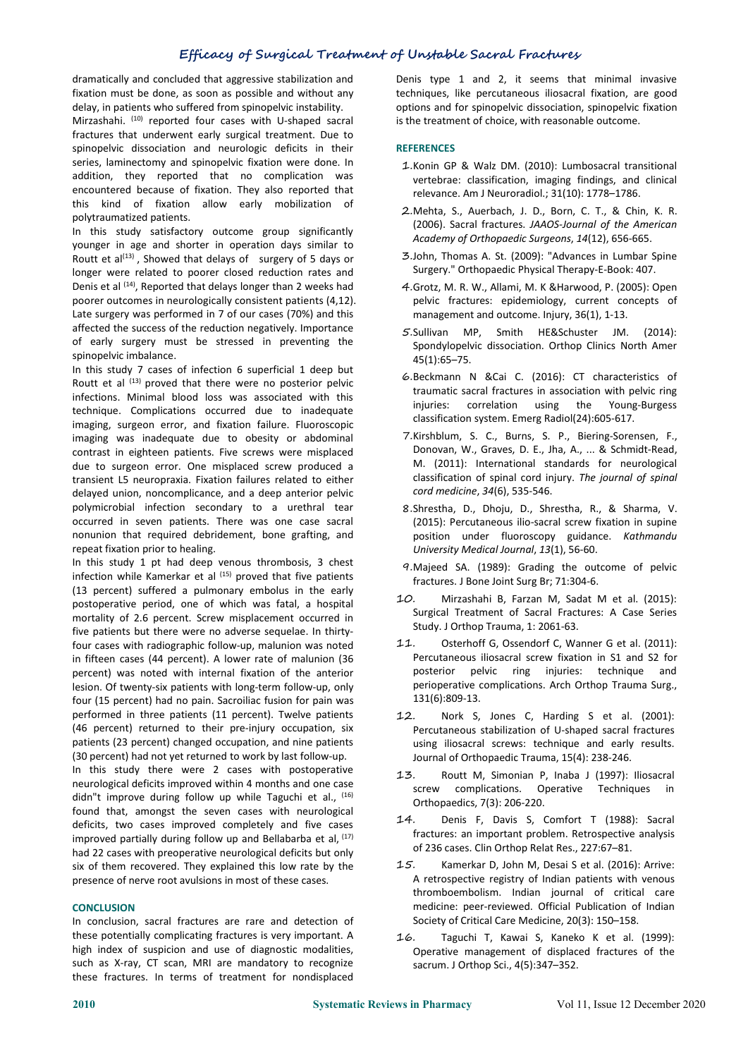dramatically and concluded that aggressive stabilization and fixation must be done, as soon as possible and without any delay, in patients who suffered from spinopelvic instability.

Mirzashahi. (10) reported four cases with U-shaped sacral is the tre fractures that underwent early surgical treatment. Due to spinopelvic dissociation and neurologic deficits in their series, laminectomy and spinopelvic fixation were done. In addition, they reported that no complication was encountered because of fixation. They also reported that this kind of fixation allow early mobilization of polytraumatized patients.

In this study satisfactory outcome group significantly younger in age and shorter in operation days similar to Routt et al<sup>(13)</sup>, Showed that delays of surgery of 5 days or  $\frac{3.5}{0}$ longer were related to poorer closed reduction rates and Denis et al <sup>(14)</sup>, Reported that delays longer than 2 weeks had 4.Grotz, M. R poorer outcomes in neurologically consistent patients (4,12). Late surgery was performed in 7 of our cases (70%) and this management and outcome. Injury, 36(1), 1-13. affected the success of the reduction negatively. Importance  $5.5$ ullivan MP, of early surgery must be stressed in preventing the spinopelvic imbalance.

In this study  $7$  cases of infection 6 superficial  $1$  deep but Routt et al  $^{(13)}$  proved that there were no posterior pelvic infections. Minimal blood loss was associated with this technique. Complications occurred due to inadequate imaging, surgeon error, and fixation failure. Fluoroscopic imaging was inadequate due to obesity or abdominal contrast in eighteen patients. Five screws were misplaced due to surgeon error. One misplaced screw produced a transient L5 neuropraxia. Fixation failures related to either delayed union, noncomplicance, and a deep anterior pelvic polymicrobial infection secondary to a urethral tear occurred in seven patients. There was one case sacral nonunion that required debridement, bone grafting, and repeat fixation prior to healing.

In this study 1 pt had deep venous thrombosis, 3 chest infection while Kamerkar et al  $(15)$  proved that five patients  $f_{\text{fract}}$ (13 percent) suffered a pulmonary embolus in the early postoperative period, one of which was fatal, a hospital mortality of 2.6 percent. Screw misplacement occurred in five patients but there were no adverse sequelae. In thirtyfour cases with radiographic follow-up, malunion was noted  $11.$ in fifteen cases (44 percent). A lower rate of malunion (36 Percutane<br>norsent) was noted with internal fixation of the anterior posterior percent) was noted with internal fixation of the anterior lesion. Of twenty-six patients with long-term follow-up, only four (15 percent) had no pain. Sacroiliac fusion for pain was performed in three patients (11 percent). Twelve patients 12. (46 percent) returned to their pre-injury occupation, six patients (23 percent) changed occupation, and nine patients (30 percent) had not yet returned to work by last follow-up.

In this study there were 2 cases with postoperative  $13$ . neurological deficits improved within 4 months and one case didn"t improve during follow up while Taguchi et al., <sup>(16)</sup> found that, amongst the seven cases with neurological deficits, two cases improved completely and five cases improved partially during follow up and Bellabarba et al, <sup>(17)</sup> had 22 cases with preoperative neurological deficits but only six of them recovered. They explained this low rate by the  $15$ . presence of nerve root avulsions in most of these cases.

# **CONCLUSION**

In conclusion, sacral fractures are rare and detection of these potentially complicating fractures is very important. A  $16$ . high index of suspicion and use of diagnostic modalities, such as X-ray, CT scan, MRI are mandatory to recognize these fractures. In terms of treatment for nondisplaced

Denis type 1 and 2, it seems that minimal invasive techniques, like percutaneous iliosacral fixation, are good options and for spinopelvic dissociation, spinopelvic fixation is the treatment of choice, with reasonable outcome.

#### **REFERENCES**

- 1.Konin GP & Walz DM. (2010): Lumbosacral transitional vertebrae: classification, imaging findings, and clinical relevance. Am J Neuroradiol.; 31(10): 1778–1786.
- 2.Mehta, S., Auerbach, J. D., Born, C. T., & Chin, K. R. (2006). Sacral fractures. *JAAOS-Journal of the American Academy of Orthopaedic Surgeons*, *14*(12), 656-665.
- 3.John, Thomas A. St.(2009): "Advances in Lumbar Spine Surgery." Orthopaedic Physical Therapy-E-Book: 407.
- 4.Grotz, M. R. W., Allami, M. K &Harwood, P. (2005): Open pelvic fractures: epidemiology, current concepts of
- Smith HE&Schuster JM. (2014): Spondylopelvic dissociation. Orthop Clinics North Amer 45(1):65–75.
- 6.Beckmann N &Cai C. (2016): CT characteristics of traumatic sacral fractures in association with pelvic ring correlation using the Young-Burgess classification system. Emerg Radiol(24):605-617.
- 7.Kirshblum, S. C., Burns, S. P., Biering-Sorensen, F., Donovan, W., Graves, D. E., Jha, A., ... & Schmidt-Read, M. (2011): International standards for neurological classification of spinal cord injury. *The journal of spinal cord medicine*, *34*(6), 535-546.
- 8.Shrestha, D., Dhoju, D., Shrestha, R., & Sharma, V. (2015): Percutaneous ilio-sacral screw fixation in supine position under fluoroscopy guidance. *Kathmandu University Medical Journal*, *13*(1), 56-60.
- 9.Majeed SA. (1989): Grading the outcome of pelvic fractures. J Bone Joint Surg Br; 71:304-6.
- Mirzashahi B, Farzan M, Sadat M et al. (2015): Surgical Treatment of Sacral Fractures: A Case Series Study. J Orthop Trauma, 1: 2061-63.
- Osterhoff G, Ossendorf C, Wanner G et al. (2011): Percutaneous iliosacral screw fixation in S1 and S2 for pelvic ring injuries: technique and perioperative complications. Arch Orthop Trauma Surg., 131(6):809-13.
- Nork S, Jones C, Harding S et al. (2001): Percutaneous stabilization of U-shaped sacral fractures using iliosacral screws: technique and early results. Journal of Orthopaedic Trauma, 15(4): 238-246.
- Routt M, Simonian P, Inaba J (1997): Iliosacral screw complications. Operative Techniques in Orthopaedics, 7(3): 206-220.
- Denis F, Davis S, Comfort T (1988): Sacral fractures: an important problem. Retrospective analysis of 236 cases. Clin Orthop Relat Res., 227:67–81.
- Kamerkar D, John M, Desai S et al. (2016): Arrive: A retrospective registry of Indian patients with venous thromboembolism. Indian journal of critical care medicine: peer-reviewed. Official Publication of Indian Society of Critical Care Medicine, 20(3): 150–158.
- Taguchi T, Kawai S, Kaneko K et al. (1999): Operative management of displaced fractures of the sacrum. J Orthop Sci., 4(5):347–352.